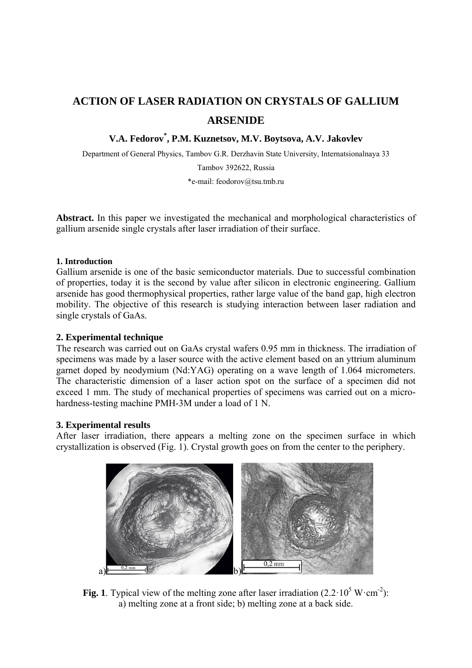# **ACTION OF LASER RADIATION ON CRYSTALS OF GALLIUM ARSENIDE**

# **V.A. Fedorov\* , P.M. Kuznetsov, M.V. Boytsova, A.V. Jakovlev**

Department of General Physics, Tambov G.R. Derzhavin State University, Internatsionalnaya 33

Tambov 392622, Russia

\*e-mail: feodorov@tsu.tmb.ru

**Abstract.** In this paper we investigated the mechanical and morphological characteristics of gallium arsenide single crystals after laser irradiation of their surface.

# **1. Introduction**

Gallium arsenide is one of the basic semiconductor materials. Due to successful combination of properties, today it is the second by value after silicon in electronic engineering. Gallium arsenide has good thermophysical properties, rather large value of the band gap, high electron mobility. The objective of this research is studying interaction between laser radiation and single crystals of GaAs.

# **2. Experimental technique**

The research was carried out on GaAs crystal wafers 0.95 mm in thickness. The irradiation of specimens was made by a laser source with the active element based on an yttrium aluminum garnet doped by neodymium (Nd:YAG) operating on a wave length of 1.064 micrometers. The characteristic dimension of a laser action spot on the surface of a specimen did not exceed 1 mm. The study of mechanical properties of specimens was carried out on a microhardness-testing machine PMH-3M under a load of 1 N.

# **3. Experimental results**

After laser irradiation, there appears a melting zone on the specimen surface in which crystallization is observed (Fig. 1). Crystal growth goes on from the center to the periphery.



**Fig. 1**. Typical view of the melting zone after laser irradiation  $(2.2 \cdot 10^5 \text{ W} \cdot \text{cm}^2)$ : a) melting zone at a front side; b) melting zone at a back side.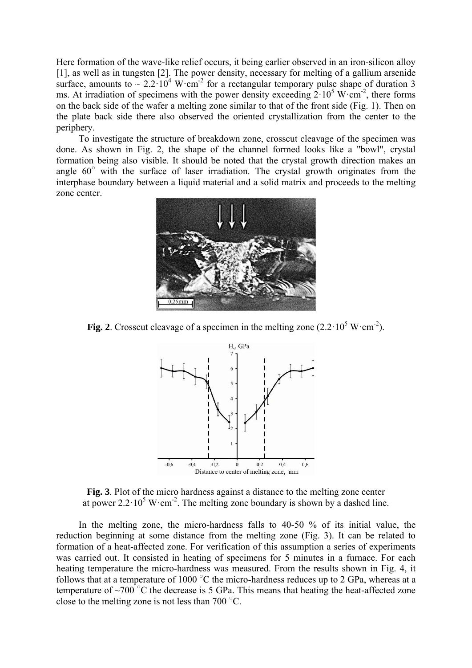#### Action of laser radiation on crystals of gallium arsenide **49** and the state of the 49

Here formation of the wave-like relief occurs, it being earlier observed in an iron-silicon alloy [1], as well as in tungsten [2]. The power density, necessary for melting of a gallium arsenide surface, amounts to  $\sim 2.2 \cdot 10^4$  W $\cdot$ cm<sup>-2</sup> for a rectangular temporary pulse shape of duration 3 ms. At irradiation of specimens with the power density exceeding  $2 \cdot 10^5$  W·cm<sup>-2</sup>, there forms on the back side of the wafer a melting zone similar to that of the front side (Fig. 1). Then on the plate back side there also observed the oriented crystallization from the center to the periphery.

To investigate the structure of breakdown zone, crosscut cleavage of the specimen was done. As shown in Fig. 2, the shape of the channel formed looks like a "bowl", crystal formation being also visible. It should be noted that the crystal growth direction makes an angle 60° with the surface of laser irradiation. The crystal growth originates from the interphase boundary between a liquid material and a solid matrix and proceeds to the melting zone center.



**Fig. 2**. Crosscut cleavage of a specimen in the melting zone  $(2.2 \cdot 10^5 \text{ W} \cdot \text{cm}^{-2})$ .



**Fig. 3**. Plot of the micro hardness against a distance to the melting zone center at power  $2.2 \cdot 10^5$  W $\cdot$ cm<sup>-2</sup>. The melting zone boundary is shown by a dashed line.

In the melting zone, the micro-hardness falls to 40-50 % of its initial value, the reduction beginning at some distance from the melting zone (Fig. 3). It can be related to formation of a heat-affected zone. For verification of this assumption a series of experiments was carried out. It consisted in heating of specimens for 5 minutes in a furnace. For each heating temperature the micro-hardness was measured. From the results shown in Fig. 4, it follows that at a temperature of 1000  $^{\circ}$ C the micro-hardness reduces up to 2 GPa, whereas at a temperature of ~700 $\degree$ C the decrease is 5 GPa. This means that heating the heat-affected zone close to the melting zone is not less than 700  $\degree$ C.